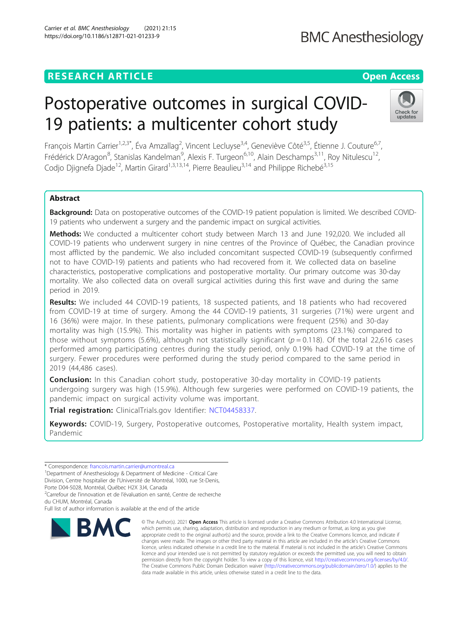### **RESEARCH ARTICLE Example 2014 12:30 The Contract of Contract ACCESS**

# Postoperative outcomes in surgical COVID-19 patients: a multicenter cohort study

François Martin Carrier<sup>1,2,3\*</sup>, Éva Amzallag<sup>2</sup>, Vincent Lecluyse<sup>3,4</sup>, Geneviève Côté<sup>3,5</sup>, Étienne J. Couture<sup>6,7</sup>, Frédérick D'Aragon<sup>8</sup>, Stanislas Kandelman<sup>9</sup>, Alexis F. Turgeon<sup>6,10</sup>, Alain Deschamps<sup>3,11</sup>, Roy Nitulescu<sup>12</sup>, Codio Diignefa Diade<sup>12</sup>, Martin Girard<sup>1,3,13,14</sup>, Pierre Beaulieu<sup>3,14</sup> and Philippe Richebé<sup>3,15</sup>

### Abstract

**Background:** Data on postoperative outcomes of the COVID-19 patient population is limited. We described COVID-19 patients who underwent a surgery and the pandemic impact on surgical activities.

Methods: We conducted a multicenter cohort study between March 13 and June 192,020. We included all COVID-19 patients who underwent surgery in nine centres of the Province of Québec, the Canadian province most afflicted by the pandemic. We also included concomitant suspected COVID-19 (subsequently confirmed not to have COVID-19) patients and patients who had recovered from it. We collected data on baseline characteristics, postoperative complications and postoperative mortality. Our primary outcome was 30-day mortality. We also collected data on overall surgical activities during this first wave and during the same period in 2019.

Results: We included 44 COVID-19 patients, 18 suspected patients, and 18 patients who had recovered from COVID-19 at time of surgery. Among the 44 COVID-19 patients, 31 surgeries (71%) were urgent and 16 (36%) were major. In these patients, pulmonary complications were frequent (25%) and 30-day mortality was high (15.9%). This mortality was higher in patients with symptoms (23.1%) compared to those without symptoms (5.6%), although not statistically significant ( $p = 0.118$ ). Of the total 22,616 cases performed among participating centres during the study period, only 0.19% had COVID-19 at the time of surgery. Fewer procedures were performed during the study period compared to the same period in 2019 (44,486 cases).

**Conclusion:** In this Canadian cohort study, postoperative 30-day mortality in COVID-19 patients undergoing surgery was high (15.9%). Although few surgeries were performed on COVID-19 patients, the pandemic impact on surgical activity volume was important.

Trial registration: ClinicalTrials.gov Identifier: [NCT04458337.](https://clinicaltrials.gov/ct2/show/NCT04458337)

Keywords: COVID-19, Surgery, Postoperative outcomes, Postoperative mortality, Health system impact, Pandemic

Porte D04-5028, Montréal, Québec H2X 3J4, Canada

<sup>2</sup>Carrefour de l'innovation et de l'évaluation en santé, Centre de recherche du CHUM, Montréal, Canada

## Carrier et al. BMC Anesthesiology (2021) 21:15 https://doi.org/10.1186/s12871-021-01233-9

which permits use, sharing, adaptation, distribution and reproduction in any medium or format, as long as you give appropriate credit to the original author(s) and the source, provide a link to the Creative Commons licence, and indicate if changes were made. The images or other third party material in this article are included in the article's Creative Commons licence, unless indicated otherwise in a credit line to the material. If material is not included in the article's Creative Commons licence and your intended use is not permitted by statutory regulation or exceeds the permitted use, you will need to obtain permission directly from the copyright holder. To view a copy of this licence, visit [http://creativecommons.org/licenses/by/4.0/.](http://creativecommons.org/licenses/by/4.0/) The Creative Commons Public Domain Dedication waiver [\(http://creativecommons.org/publicdomain/zero/1.0/](http://creativecommons.org/publicdomain/zero/1.0/)) applies to the data made available in this article, unless otherwise stated in a credit line to the data.

© The Author(s), 2021 **Open Access** This article is licensed under a Creative Commons Attribution 4.0 International License,



Check for updates



<sup>\*</sup> Correspondence: [francois.martin.carrier@umontreal.ca](mailto:francois.martin.carrier@umontreal.ca) <sup>1</sup>

<sup>&</sup>lt;sup>1</sup>Department of Anesthesiology & Department of Medicine - Critical Care

Division, Centre hospitalier de l'Université de Montréal, 1000, rue St-Denis,

Full list of author information is available at the end of the article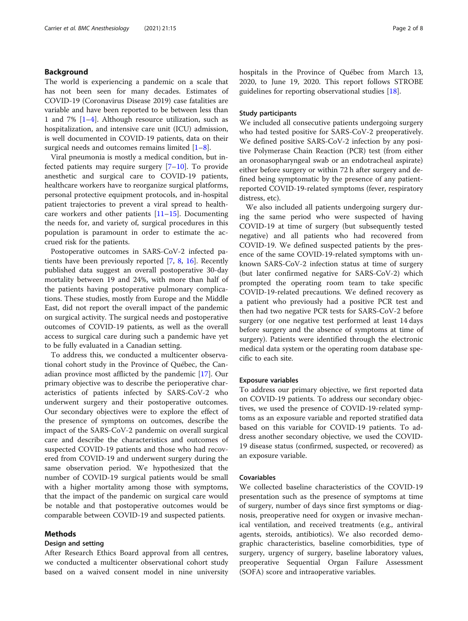#### Background

The world is experiencing a pandemic on a scale that has not been seen for many decades. Estimates of COVID-19 (Coronavirus Disease 2019) case fatalities are variable and have been reported to be between less than 1 and 7% [\[1](#page-7-0)–[4](#page-7-0)]. Although resource utilization, such as hospitalization, and intensive care unit (ICU) admission, is well documented in COVID-19 patients, data on their surgical needs and outcomes remains limited  $[1-8]$  $[1-8]$  $[1-8]$  $[1-8]$  $[1-8]$ .

Viral pneumonia is mostly a medical condition, but infected patients may require surgery [[7](#page-7-0)–[10](#page-7-0)]. To provide anesthetic and surgical care to COVID-19 patients, healthcare workers have to reorganize surgical platforms, personal protective equipment protocols, and in-hospital patient trajectories to prevent a viral spread to healthcare workers and other patients [[11](#page-7-0)–[15](#page-7-0)]. Documenting the needs for, and variety of, surgical procedures in this population is paramount in order to estimate the accrued risk for the patients.

Postoperative outcomes in SARS-CoV-2 infected patients have been previously reported [\[7](#page-7-0), [8](#page-7-0), [16\]](#page-7-0). Recently published data suggest an overall postoperative 30-day mortality between 19 and 24%, with more than half of the patients having postoperative pulmonary complications. These studies, mostly from Europe and the Middle East, did not report the overall impact of the pandemic on surgical activity. The surgical needs and postoperative outcomes of COVID-19 patients, as well as the overall access to surgical care during such a pandemic have yet to be fully evaluated in a Canadian setting.

To address this, we conducted a multicenter observational cohort study in the Province of Québec, the Canadian province most afflicted by the pandemic [\[17](#page-7-0)]. Our primary objective was to describe the perioperative characteristics of patients infected by SARS-CoV-2 who underwent surgery and their postoperative outcomes. Our secondary objectives were to explore the effect of the presence of symptoms on outcomes, describe the impact of the SARS-CoV-2 pandemic on overall surgical care and describe the characteristics and outcomes of suspected COVID-19 patients and those who had recovered from COVID-19 and underwent surgery during the same observation period. We hypothesized that the number of COVID-19 surgical patients would be small with a higher mortality among those with symptoms, that the impact of the pandemic on surgical care would be notable and that postoperative outcomes would be comparable between COVID-19 and suspected patients.

#### Methods

#### Design and setting

After Research Ethics Board approval from all centres, we conducted a multicenter observational cohort study based on a waived consent model in nine university hospitals in the Province of Québec from March 13, 2020, to June 19, 2020. This report follows STROBE guidelines for reporting observational studies [\[18](#page-7-0)].

#### Study participants

We included all consecutive patients undergoing surgery who had tested positive for SARS-CoV-2 preoperatively. We defined positive SARS-CoV-2 infection by any positive Polymerase Chain Reaction (PCR) test (from either an oronasopharyngeal swab or an endotracheal aspirate) either before surgery or within 72 h after surgery and defined being symptomatic by the presence of any patientreported COVID-19-related symptoms (fever, respiratory distress, etc).

We also included all patients undergoing surgery during the same period who were suspected of having COVID-19 at time of surgery (but subsequently tested negative) and all patients who had recovered from COVID-19. We defined suspected patients by the presence of the same COVID-19-related symptoms with unknown SARS-CoV-2 infection status at time of surgery (but later confirmed negative for SARS-CoV-2) which prompted the operating room team to take specific COVID-19-related precautions. We defined recovery as a patient who previously had a positive PCR test and then had two negative PCR tests for SARS-CoV-2 before surgery (or one negative test performed at least 14 days before surgery and the absence of symptoms at time of surgery). Patients were identified through the electronic medical data system or the operating room database specific to each site.

#### Exposure variables

To address our primary objective, we first reported data on COVID-19 patients. To address our secondary objectives, we used the presence of COVID-19-related symptoms as an exposure variable and reported stratified data based on this variable for COVID-19 patients. To address another secondary objective, we used the COVID-19 disease status (confirmed, suspected, or recovered) as an exposure variable.

#### Covariables

We collected baseline characteristics of the COVID-19 presentation such as the presence of symptoms at time of surgery, number of days since first symptoms or diagnosis, preoperative need for oxygen or invasive mechanical ventilation, and received treatments (e.g., antiviral agents, steroids, antibiotics). We also recorded demographic characteristics, baseline comorbidities, type of surgery, urgency of surgery, baseline laboratory values, preoperative Sequential Organ Failure Assessment (SOFA) score and intraoperative variables.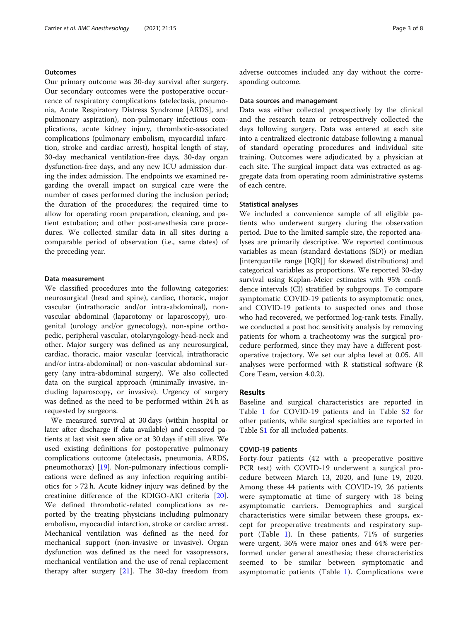#### **Outcomes**

Our primary outcome was 30-day survival after surgery. Our secondary outcomes were the postoperative occurrence of respiratory complications (atelectasis, pneumonia, Acute Respiratory Distress Syndrome [ARDS], and pulmonary aspiration), non-pulmonary infectious complications, acute kidney injury, thrombotic-associated complications (pulmonary embolism, myocardial infarction, stroke and cardiac arrest), hospital length of stay, 30-day mechanical ventilation-free days, 30-day organ dysfunction-free days, and any new ICU admission during the index admission. The endpoints we examined regarding the overall impact on surgical care were the number of cases performed during the inclusion period; the duration of the procedures; the required time to allow for operating room preparation, cleaning, and patient extubation; and other post-anesthesia care procedures. We collected similar data in all sites during a comparable period of observation (i.e., same dates) of the preceding year.

#### Data measurement

We classified procedures into the following categories: neurosurgical (head and spine), cardiac, thoracic, major vascular (intrathoracic and/or intra-abdominal), nonvascular abdominal (laparotomy or laparoscopy), urogenital (urology and/or gynecology), non-spine orthopedic, peripheral vascular, otolaryngology-head-neck and other. Major surgery was defined as any neurosurgical, cardiac, thoracic, major vascular (cervical, intrathoracic and/or intra-abdominal) or non-vascular abdominal surgery (any intra-abdominal surgery). We also collected data on the surgical approach (minimally invasive, including laparoscopy, or invasive). Urgency of surgery was defined as the need to be performed within 24 h as requested by surgeons.

We measured survival at 30 days (within hospital or later after discharge if data available) and censored patients at last visit seen alive or at 30 days if still alive. We used existing definitions for postoperative pulmonary complications outcome (atelectasis, pneumonia, ARDS, pneumothorax) [[19\]](#page-7-0). Non-pulmonary infectious complications were defined as any infection requiring antibiotics for > 72 h. Acute kidney injury was defined by the creatinine difference of the KDIGO-AKI criteria [\[20](#page-7-0)]. We defined thrombotic-related complications as reported by the treating physicians including pulmonary embolism, myocardial infarction, stroke or cardiac arrest. Mechanical ventilation was defined as the need for mechanical support (non-invasive or invasive). Organ dysfunction was defined as the need for vasopressors, mechanical ventilation and the use of renal replacement therapy after surgery  $[21]$  $[21]$  $[21]$ . The 30-day freedom from adverse outcomes included any day without the corresponding outcome.

#### Data sources and management

Data was either collected prospectively by the clinical and the research team or retrospectively collected the days following surgery. Data was entered at each site into a centralized electronic database following a manual of standard operating procedures and individual site training. Outcomes were adjudicated by a physician at each site. The surgical impact data was extracted as aggregate data from operating room administrative systems of each centre.

#### Statistical analyses

We included a convenience sample of all eligible patients who underwent surgery during the observation period. Due to the limited sample size, the reported analyses are primarily descriptive. We reported continuous variables as mean (standard deviations (SD)) or median [interquartile range [IQR]] for skewed distributions) and categorical variables as proportions. We reported 30-day survival using Kaplan-Meier estimates with 95% confidence intervals (CI) stratified by subgroups. To compare symptomatic COVID-19 patients to asymptomatic ones, and COVID-19 patients to suspected ones and those who had recovered, we performed log-rank tests. Finally, we conducted a post hoc sensitivity analysis by removing patients for whom a tracheotomy was the surgical procedure performed, since they may have a different postoperative trajectory. We set our alpha level at 0.05. All analyses were performed with R statistical software (R Core Team, version 4.0.2).

#### Results

Baseline and surgical characteristics are reported in Table [1](#page-3-0) for COVID-19 patients and in Table [S2](#page-6-0) for other patients, while surgical specialties are reported in Table S[1](#page-6-0) for all included patients.

#### COVID-19 patients

Forty-four patients (42 with a preoperative positive PCR test) with COVID-19 underwent a surgical procedure between March 13, 2020, and June 19, 2020. Among these 44 patients with COVID-19, 26 patients were symptomatic at time of surgery with 18 being asymptomatic carriers. Demographics and surgical characteristics were similar between these groups, except for preoperative treatments and respiratory support (Table [1\)](#page-3-0). In these patients, 71% of surgeries were urgent, 36% were major ones and 64% were performed under general anesthesia; these characteristics seemed to be similar between symptomatic and asymptomatic patients (Table [1\)](#page-3-0). Complications were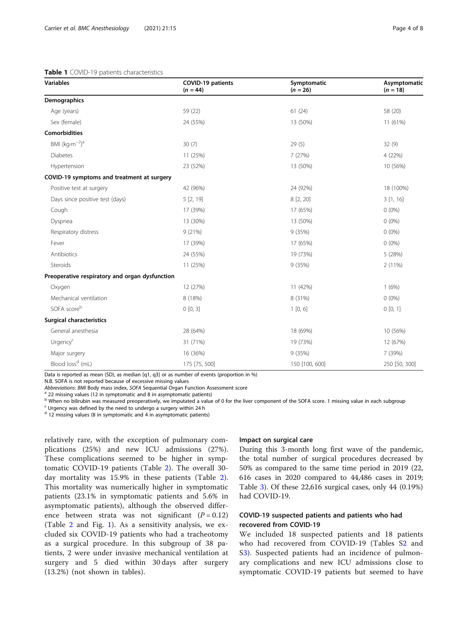#### <span id="page-3-0"></span>Table 1 COVID-19 patients characteristics

| <b>Variables</b>                               | <b>COVID-19 patients</b><br>$(n = 44)$ | Symptomatic<br>$(n = 26)$ | Asymptomatic<br>$(n = 18)$ |
|------------------------------------------------|----------------------------------------|---------------------------|----------------------------|
| Demographics                                   |                                        |                           |                            |
| Age (years)                                    | 59 (22)                                | 61(24)                    | 58 (20)                    |
| Sex (female)                                   | 24 (55%)                               | 13 (50%)                  | 11 (61%)                   |
| <b>Comorbidities</b>                           |                                        |                           |                            |
| BMI $(kq·m-2)a$                                | 30(7)                                  | 29(5)                     | 32(9)                      |
| <b>Diabetes</b>                                | 11 (25%)                               | 7(27%)                    | 4 (22%)                    |
| Hypertension                                   | 23 (52%)                               | 13 (50%)                  | 10 (56%)                   |
| COVID-19 symptoms and treatment at surgery     |                                        |                           |                            |
| Positive test at surgery                       | 42 (96%)                               | 24 (92%)                  | 18 (100%)                  |
| Days since positive test (days)                | 5 [2, 19]                              | 8 [2, 20]                 | 3[1, 16]                   |
| Cough                                          | 17 (39%)                               | 17 (65%)                  | $0(0\%)$                   |
| Dyspnea                                        | 13 (30%)                               | 13 (50%)                  | $0(0\%)$                   |
| Respiratory distress                           | 9(21%)                                 | 9 (35%)                   | $0(0\%)$                   |
| Fever                                          | 17 (39%)                               | 17 (65%)                  | $0(0\%)$                   |
| Antibiotics                                    | 24 (55%)                               | 19 (73%)                  | 5 (28%)                    |
| Steroids                                       | 11 (25%)                               | 9 (35%)                   | 2 (11%)                    |
| Preoperative respiratory and organ dysfunction |                                        |                           |                            |
| Oxygen                                         | 12 (27%)                               | 11 (42%)                  | 1(6%)                      |
| Mechanical ventilation                         | 8 (18%)                                | 8 (31%)                   | $0(0\%)$                   |
| SOFA scoreb                                    | 0[0, 3]                                | 1[0, 6]                   | 0[0, 1]                    |
| <b>Surgical characteristics</b>                |                                        |                           |                            |
| General anesthesia                             | 28 (64%)                               | 18 (69%)                  | 10 (56%)                   |
| Urgency <sup>c</sup>                           | 31 (71%)                               | 19 (73%)                  | 12 (67%)                   |
| Major surgery                                  | 16 (36%)                               | 9 (35%)                   | 7 (39%)                    |
| Blood loss <sup>d</sup> (mL)                   | 175 [75, 500]                          | 150 [100, 600]            | 250 [50, 300]              |

Data is reported as mean (SD), as median [q1, q3] or as number of events (proportion in %)

N.B. SOFA is not reported because of excessive missing values<br>Abbreviations: BMI Body mass index. SOFA Sequential Organ Function Assessment score

 $^a$  22 missing values (12 in symptomatic and 8 in asymptomatic patients)

<sup>b</sup> When no bilirubin was measured preoperatively, we imputated a value of 0 for the liver component of the SOFA score. 1 missing value in each subgroup

<sup>c</sup> Urgency was defined by the need to undergo a surgery within 24 h

 $d$  12 missing values (8 in symptomatic and 4 in asymptomatic patients)

relatively rare, with the exception of pulmonary complications (25%) and new ICU admissions (27%). These complications seemed to be higher in symptomatic COVID-19 patients (Table [2\)](#page-4-0). The overall 30 day mortality was 15.9% in these patients (Table [2](#page-4-0)). This mortality was numerically higher in symptomatic patients (23.1% in symptomatic patients and 5.6% in asymptomatic patients), although the observed difference between strata was not significant  $(P = 0.12)$ (Table [2](#page-4-0) and Fig. [1](#page-4-0)). As a sensitivity analysis, we excluded six COVID-19 patients who had a tracheotomy as a surgical procedure. In this subgroup of 38 patients, 2 were under invasive mechanical ventilation at surgery and 5 died within 30 days after surgery (13.2%) (not shown in tables).

#### Impact on surgical care

During this 3-month long first wave of the pandemic, the total number of surgical procedures decreased by 50% as compared to the same time period in 2019 (22, 616 cases in 2020 compared to 44,486 cases in 2019; Table [3](#page-5-0)). Of these 22,616 surgical cases, only 44 (0.19%) had COVID-19.

#### COVID-19 suspected patients and patients who had recovered from COVID-19

We included 18 suspected patients and 18 patients who had recovered from COVID-19 (Tables S[2](#page-6-0) and S[3\)](#page-6-0). Suspected patients had an incidence of pulmonary complications and new ICU admissions close to symptomatic COVID-19 patients but seemed to have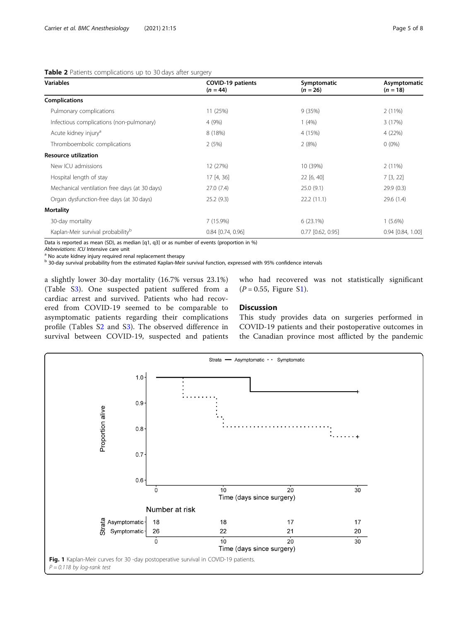#### <span id="page-4-0"></span>Table 2 Patients complications up to 30 days after surgery

| <b>Variables</b>                              | COVID-19 patients<br>$(n = 44)$ | Symptomatic<br>$(n = 26)$ | Asymptomatic<br>$(n = 18)$ |
|-----------------------------------------------|---------------------------------|---------------------------|----------------------------|
| <b>Complications</b>                          |                                 |                           |                            |
| Pulmonary complications                       | 11 (25%)                        | 9(35%)                    | 2(11%)                     |
| Infectious complications (non-pulmonary)      | 4 (9%)                          | 1(4%)                     | 3(17%)                     |
| Acute kidney injury <sup>a</sup>              | 8 (18%)                         | 4 (15%)                   | 4 (22%)                    |
| Thromboembolic complications                  | 2(5%)                           | 2(8%)                     | $0(0\%)$                   |
| <b>Resource utilization</b>                   |                                 |                           |                            |
| New ICU admissions                            | 12 (27%)                        | 10 (39%)                  | 2(11%)                     |
| Hospital length of stay                       | 17[4, 36]                       | 22 [6, 40]                | 7[3, 22]                   |
| Mechanical ventilation free days (at 30 days) | 27.0(7.4)                       | 25.0(9.1)                 | 29.9(0.3)                  |
| Organ dysfunction-free days (at 30 days)      | 25.2(9.3)                       | 22.2(11.1)                | 29.6(1.4)                  |
| <b>Mortality</b>                              |                                 |                           |                            |
| 30-day mortality                              | 7(15.9%)                        | 6(23.1%)                  | $1(5.6\%)$                 |
| Kaplan-Meir survival probability <sup>b</sup> | $0.84$ [0.74, 0.96]             | $0.77$ $[0.62, 0.95]$     | $0.94$ $[0.84, 1.00]$      |

Data is reported as mean (SD), as median [q1, q3] or as number of events (proportion in %)

Abbreviations: ICU Intensive care unit a No acute kidney injury required renal replacement therapy

<sup>b</sup> 30-day survival probability from the estimated Kaplan-Meir survival function, expressed with 95% confidence intervals

a slightly lower 30-day mortality (16.7% versus 23.1%) (Table [S3](#page-6-0)). One suspected patient suffered from a cardiac arrest and survived. Patients who had recovered from COVID-19 seemed to be comparable to asymptomatic patients regarding their complications profile (Tables S[2](#page-6-0) and [S3](#page-6-0)). The observed difference in survival between COVID-19, suspected and patients who had recovered was not statistically significant  $(P = 0.55,$  Figure S[1](#page-6-0)).

#### **Discussion**

This study provides data on surgeries performed in COVID-19 patients and their postoperative outcomes in the Canadian province most afflicted by the pandemic

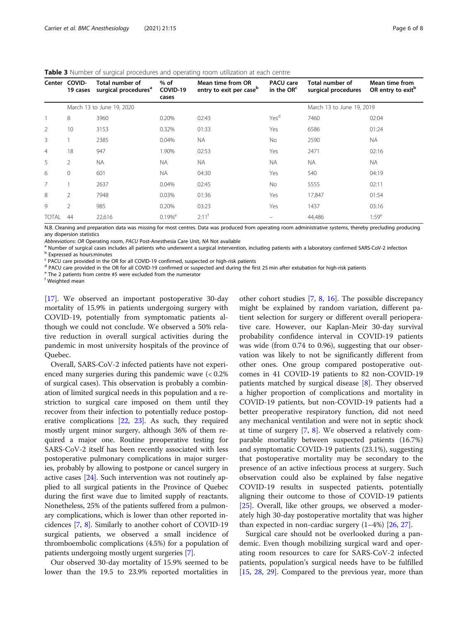| Center         | COVID-<br>19 cases        | Total number of<br>surgical procedures <sup>a</sup> | $%$ of<br>COVID-19<br>cases | Mean time from OR<br>entry to exit per case <sup>b</sup> | <b>PACU</b> care<br>in the OR <sup>c</sup> | Total number of<br>surgical procedures | Mean time from<br>OR entry to exit <sup>p</sup> |
|----------------|---------------------------|-----------------------------------------------------|-----------------------------|----------------------------------------------------------|--------------------------------------------|----------------------------------------|-------------------------------------------------|
|                | March 13 to June 19, 2020 |                                                     |                             |                                                          |                                            | March 13 to June 19, 2019              |                                                 |
|                | 8                         | 3960                                                | 0.20%                       | 02:43                                                    | Yes <sup>d</sup>                           | 7460                                   | 02:04                                           |
| 2              | 10                        | 3153                                                | 0.32%                       | 01:33                                                    | Yes                                        | 6586                                   | 01:24                                           |
| 3              |                           | 2385                                                | 0.04%                       | NA.                                                      | No.                                        | 2590                                   | <b>NA</b>                                       |
| $\overline{4}$ | 18                        | 947                                                 | 1.90%                       | 02:53                                                    | Yes                                        | 2471                                   | 02:16                                           |
| 5              | $\overline{2}$            | <b>NA</b>                                           | <b>NA</b>                   | <b>NA</b>                                                | <b>NA</b>                                  | <b>NA</b>                              | <b>NA</b>                                       |
| 6              | $\Omega$                  | 601                                                 | <b>NA</b>                   | 04:30                                                    | Yes                                        | 540                                    | 04:19                                           |
| 7              |                           | 2637                                                | 0.04%                       | 02:45                                                    | No.                                        | 5555                                   | 02:11                                           |
| 8              | 2                         | 7948                                                | 0.03%                       | 01:36                                                    | Yes                                        | 17,847                                 | 01:54                                           |
| 9              | $\mathfrak{D}$            | 985                                                 | 0.20%                       | 03:23                                                    | Yes                                        | 1437                                   | 03:16                                           |
| <b>TOTAL</b>   | 44                        | 22,616                                              | $0.19\%$ <sup>e</sup>       | $2:11^{+}$                                               |                                            | 44,486                                 | $1:59^e$                                        |

<span id="page-5-0"></span>Table 3 Number of surgical procedures and operating room utilization at each centre

N.B. Cleaning and preparation data was missing for most centres. Data was produced from operating room administrative systems, thereby precluding producing any dispersion statistics

Abbreviations: OR Operating room, PACU Post-Anesthesia Care Unit, NA Not available<br><sup>a</sup> Number of surgical cases includes all patients who underwent a surgical intervention, including patients with a laboratory confirmed SA

<sup>c</sup> PACU care provided in the OR for all COVID-19 confirmed, suspected or high-risk patients

<sup>d</sup> PACU care provided in the OR for all COVID-19 confirmed or suspected and during the first 25 min after extubation for high-risk patients

<sup>e</sup> The 2 patients from centre #5 were excluded from the numerator

<sup>f</sup> Weighted mean

[[17\]](#page-7-0). We observed an important postoperative 30-day mortality of 15.9% in patients undergoing surgery with COVID-19, potentially from symptomatic patients although we could not conclude. We observed a 50% relative reduction in overall surgical activities during the pandemic in most university hospitals of the province of Quebec.

Overall, SARS-CoV-2 infected patients have not experienced many surgeries during this pandemic wave (< 0.2% of surgical cases). This observation is probably a combination of limited surgical needs in this population and a restriction to surgical care imposed on them until they recover from their infection to potentially reduce postoperative complications [\[22](#page-7-0), [23\]](#page-7-0). As such, they required mostly urgent minor surgery, although 36% of them required a major one. Routine preoperative testing for SARS-CoV-2 itself has been recently associated with less postoperative pulmonary complications in major surgeries, probably by allowing to postpone or cancel surgery in active cases [[24](#page-7-0)]. Such intervention was not routinely applied to all surgical patients in the Province of Quebec during the first wave due to limited supply of reactants. Nonetheless, 25% of the patients suffered from a pulmonary complications, which is lower than other reported incidences [\[7,](#page-7-0) [8](#page-7-0)]. Similarly to another cohort of COVID-19 surgical patients, we observed a small incidence of thromboembolic complications (4.5%) for a population of patients undergoing mostly urgent surgeries [\[7](#page-7-0)].

Our observed 30-day mortality of 15.9% seemed to be lower than the 19.5 to 23.9% reported mortalities in

other cohort studies [\[7](#page-7-0), [8,](#page-7-0) [16](#page-7-0)]. The possible discrepancy might be explained by random variation, different patient selection for surgery or different overall perioperative care. However, our Kaplan-Meir 30-day survival probability confidence interval in COVID-19 patients was wide (from 0.74 to 0.96), suggesting that our observation was likely to not be significantly different from other ones. One group compared postoperative outcomes in 41 COVID-19 patients to 82 non-COVID-19 patients matched by surgical disease [[8\]](#page-7-0). They observed a higher proportion of complications and mortality in COVID-19 patients, but non-COVID-19 patients had a better preoperative respiratory function, did not need any mechanical ventilation and were not in septic shock at time of surgery  $[7, 8]$  $[7, 8]$  $[7, 8]$  $[7, 8]$ . We observed a relatively comparable mortality between suspected patients (16.7%) and symptomatic COVID-19 patients (23.1%), suggesting that postoperative mortality may be secondary to the presence of an active infectious process at surgery. Such observation could also be explained by false negative COVID-19 results in suspected patients, potentially aligning their outcome to those of COVID-19 patients [[25\]](#page-7-0). Overall, like other groups, we observed a moderately high 30-day postoperative mortality that was higher than expected in non-cardiac surgery  $(1-4%)$  [\[26](#page-7-0), [27\]](#page-7-0).

Surgical care should not be overlooked during a pandemic. Even though mobilizing surgical ward and operating room resources to care for SARS-CoV-2 infected patients, population's surgical needs have to be fulfilled [[15,](#page-7-0) [28](#page-7-0), [29](#page-7-0)]. Compared to the previous year, more than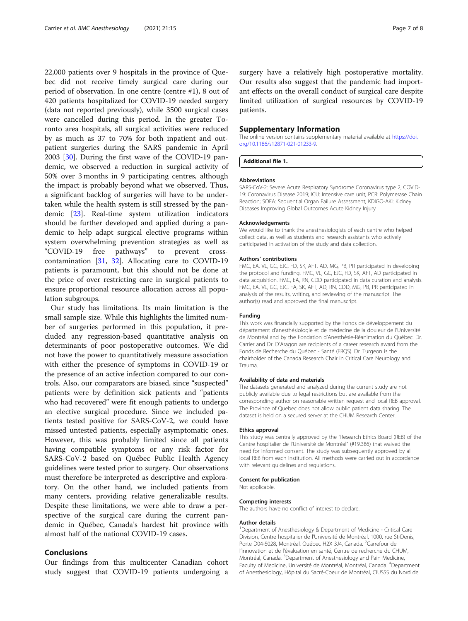<span id="page-6-0"></span>22,000 patients over 9 hospitals in the province of Quebec did not receive timely surgical care during our period of observation. In one centre (centre #1), 8 out of 420 patients hospitalized for COVID-19 needed surgery (data not reported previously), while 3500 surgical cases were cancelled during this period. In the greater Toronto area hospitals, all surgical activities were reduced by as much as 37 to 70% for both inpatient and outpatient surgeries during the SARS pandemic in April 2003 [\[30](#page-7-0)]. During the first wave of the COVID-19 pandemic, we observed a reduction in surgical activity of 50% over 3 months in 9 participating centres, although the impact is probably beyond what we observed. Thus, a significant backlog of surgeries will have to be undertaken while the health system is still stressed by the pandemic [\[23\]](#page-7-0). Real-time system utilization indicators should be further developed and applied during a pandemic to help adapt surgical elective programs within system overwhelming prevention strategies as well as "COVID-19 free pathways" to prevent crosscontamination [[31](#page-7-0), [32\]](#page-7-0). Allocating care to COVID-19 patients is paramount, but this should not be done at the price of over restricting care in surgical patients to ensure proportional resource allocation across all population subgroups.

Our study has limitations. Its main limitation is the small sample size. While this highlights the limited number of surgeries performed in this population, it precluded any regression-based quantitative analysis on determinants of poor postoperative outcomes. We did not have the power to quantitatively measure association with either the presence of symptoms in COVID-19 or the presence of an active infection compared to our controls. Also, our comparators are biased, since "suspected" patients were by definition sick patients and "patients who had recovered" were fit enough patients to undergo an elective surgical procedure. Since we included patients tested positive for SARS-CoV-2, we could have missed untested patients, especially asymptomatic ones. However, this was probably limited since all patients having compatible symptoms or any risk factor for SARS-CoV-2 based on Québec Public Health Agency guidelines were tested prior to surgery. Our observations must therefore be interpreted as descriptive and exploratory. On the other hand, we included patients from many centers, providing relative generalizable results. Despite these limitations, we were able to draw a perspective of the surgical care during the current pandemic in Québec, Canada's hardest hit province with almost half of the national COVID-19 cases.

#### Conclusions

Our findings from this multicenter Canadian cohort study suggest that COVID-19 patients undergoing a surgery have a relatively high postoperative mortality. Our results also suggest that the pandemic had important effects on the overall conduct of surgical care despite limited utilization of surgical resources by COVID-19 patients.

#### Supplementary Information

The online version contains supplementary material available at [https://doi.](https://doi.org/10.1186/s12871-021-01233-9) [org/10.1186/s12871-021-01233-9.](https://doi.org/10.1186/s12871-021-01233-9)

#### Additional file 1.

#### Abbreviations

SARS-CoV-2: Severe Acute Respiratory Syndrome Coronavirus type 2; COVID-19: Coronavirus Disease 2019; ICU: Intensive care unit; PCR: Polymerase Chain Reaction; SOFA: Sequential Organ Failure Assessment; KDIGO-AKI: Kidney Diseases Improving Global Outcomes Acute Kidney Injury

#### Acknowledgements

We would like to thank the anesthesiologists of each centre who helped collect data, as well as students and research assistants who actively participated in activation of the study and data collection.

#### Authors' contributions

FMC, EA, VL, GC, EJC, FD, SK, AFT, AD, MG, PB, PR participated in developing the protocol and funding. FMC, VL, GC, EJC, FD, SK, AFT, AD participated in data acquisition. FMC, EA, RN, CDD participated in data curation and analysis. FMC, EA, VL, GC, EJC, FA, SK, AFT, AD, RN, CDD, MG, PB, PR participated in analysis of the results, writing, and reviewing of the manuscript. The author(s) read and approved the final manuscript.

#### Funding

This work was financially supported by the Fonds de développement du département d'anesthésiologie et de médecine de la douleur de l'Université de Montréal and by the Fondation d'Anesthésie-Réanimation du Québec. Dr. Carrier and Dr. D'Aragon are recipients of a career research award from the Fonds de Recherche du Québec - Santé (FRQS). Dr. Turgeon is the chairholder of the Canada Research Chair in Critical Care Neurology and Trauma.

#### Availability of data and materials

The datasets generated and analyzed during the current study are not publicly available due to legal restrictions but are available from the corresponding author on reasonable written request and local REB approval. The Province of Quebec does not allow public patient data sharing. The dataset is held on a secured server at the CHUM Research Center.

#### Ethics approval

This study was centrally approved by the "Research Ethics Board (REB) of the Centre hospitalier de l'Université de Montréal" (#19.386) that waived the need for informed consent. The study was subsequently approved by all local REB from each institution. All methods were carried out in accordance with relevant guidelines and regulations.

#### Consent for publication

Not applicable.

#### Competing interests

The authors have no conflict of interest to declare.

#### Author details

<sup>1</sup>Department of Anesthesiology & Department of Medicine - Critical Care Division, Centre hospitalier de l'Université de Montréal, 1000, rue St-Denis, Porte D04-5028, Montréal, Québec H2X 3J4, Canada. <sup>2</sup>Carrefour de l'innovation et de l'évaluation en santé, Centre de recherche du CHUM, Montréal, Canada. <sup>3</sup> Department of Anesthesiology and Pain Medicine, Faculty of Medicine, Université de Montréal, Montréal, Canada. <sup>4</sup>Department of Anesthesiology, Hôpital du Sacré-Coeur de Montréal, CIUSSS du Nord de